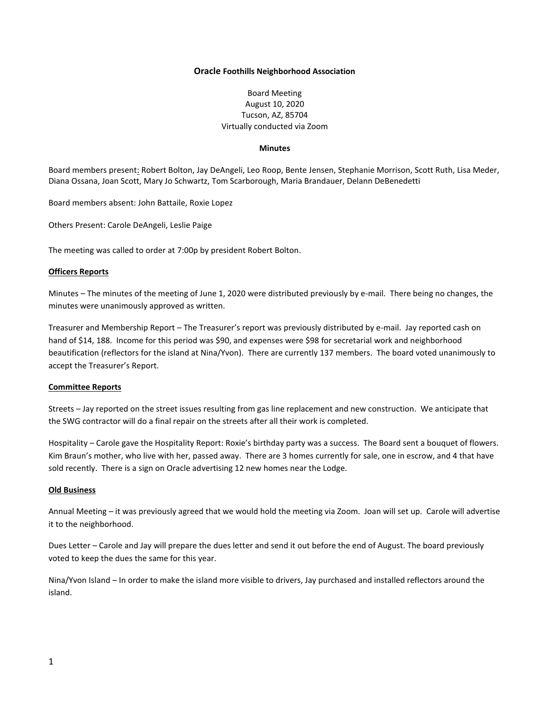### **Oracle Foothills Neighborhood Association**

# Board Meeting August 10, 2020 Tucson, AZ, 85704 Virtually conducted via Zoom

## **Minutes**

Board members present: Robert Bolton, Jay DeAngeli, Leo Roop, Bente Jensen, Stephanie Morrison, Scott Ruth, Lisa Meder, Diana Ossana, Joan Scott, Mary Jo Schwartz, Tom Scarborough, Maria Brandauer, Delann DeBenedetti

Board members absent: John Battaile, Roxie Lopez

Others Present: Carole DeAngeli, Leslie Paige

The meeting was called to order at 7:00p by president Robert Bolton.

## **Officers Reports**

Minutes – The minutes of the meeting of June 1, 2020 were distributed previously by e-mail. There being no changes, the minutes were unanimously approved as written.

Treasurer and Membership Report – The Treasurer's report was previously distributed by e-mail. Jay reported cash on hand of \$14, 188. Income for this period was \$90, and expenses were \$98 for secretarial work and neighborhood beautification (reflectors for the island at Nina/Yvon). There are currently 137 members. The board voted unanimously to accept the Treasurer's Report.

### **Committee Reports**

Streets – Jay reported on the street issues resulting from gas line replacement and new construction. We anticipate that the SWG contractor will do a final repair on the streets after all their work is completed.

Hospitality – Carole gave the Hospitality Report: Roxie's birthday party was a success. The Board sent a bouquet of flowers. Kim Braun's mother, who live with her, passed away. There are 3 homes currently for sale, one in escrow, and 4 that have sold recently. There is a sign on Oracle advertising 12 new homes near the Lodge.

### **Old Business**

Annual Meeting – it was previously agreed that we would hold the meeting via Zoom. Joan will set up. Carole will advertise it to the neighborhood.

Dues Letter – Carole and Jay will prepare the dues letter and send it out before the end of August. The board previously voted to keep the dues the same for this year.

Nina/Yvon Island – In order to make the island more visible to drivers, Jay purchased and installed reflectors around the island.